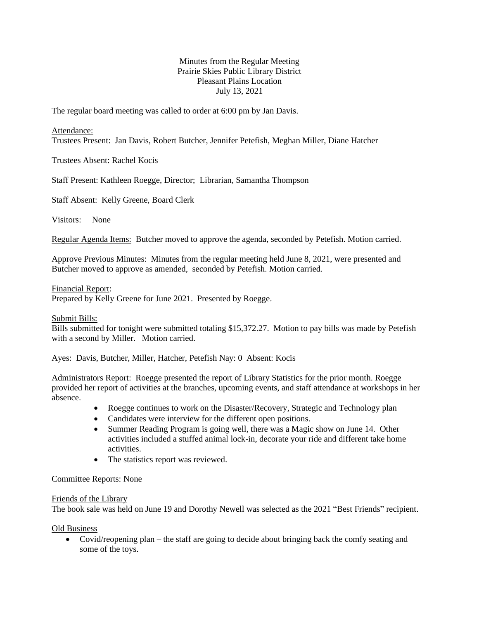# Minutes from the Regular Meeting Prairie Skies Public Library District Pleasant Plains Location July 13, 2021

The regular board meeting was called to order at 6:00 pm by Jan Davis.

#### Attendance:

Trustees Present: Jan Davis, Robert Butcher, Jennifer Petefish, Meghan Miller, Diane Hatcher

Trustees Absent: Rachel Kocis

Staff Present: Kathleen Roegge, Director; Librarian, Samantha Thompson

Staff Absent: Kelly Greene, Board Clerk

Visitors: None

Regular Agenda Items: Butcher moved to approve the agenda, seconded by Petefish. Motion carried.

Approve Previous Minutes: Minutes from the regular meeting held June 8, 2021, were presented and Butcher moved to approve as amended, seconded by Petefish. Motion carried.

Financial Report:

Prepared by Kelly Greene for June 2021. Presented by Roegge.

Submit Bills:

Bills submitted for tonight were submitted totaling \$15,372.27. Motion to pay bills was made by Petefish with a second by Miller. Motion carried.

Ayes: Davis, Butcher, Miller, Hatcher, Petefish Nay: 0 Absent: Kocis

Administrators Report: Roegge presented the report of Library Statistics for the prior month. Roegge provided her report of activities at the branches, upcoming events, and staff attendance at workshops in her absence.

- Roegge continues to work on the Disaster/Recovery, Strategic and Technology plan
- Candidates were interview for the different open positions.
- Summer Reading Program is going well, there was a Magic show on June 14. Other activities included a stuffed animal lock-in, decorate your ride and different take home activities.
- The statistics report was reviewed.

## Committee Reports: None

#### Friends of the Library

The book sale was held on June 19 and Dorothy Newell was selected as the 2021 "Best Friends" recipient.

Old Business

• Covid/reopening plan – the staff are going to decide about bringing back the comfy seating and some of the toys.